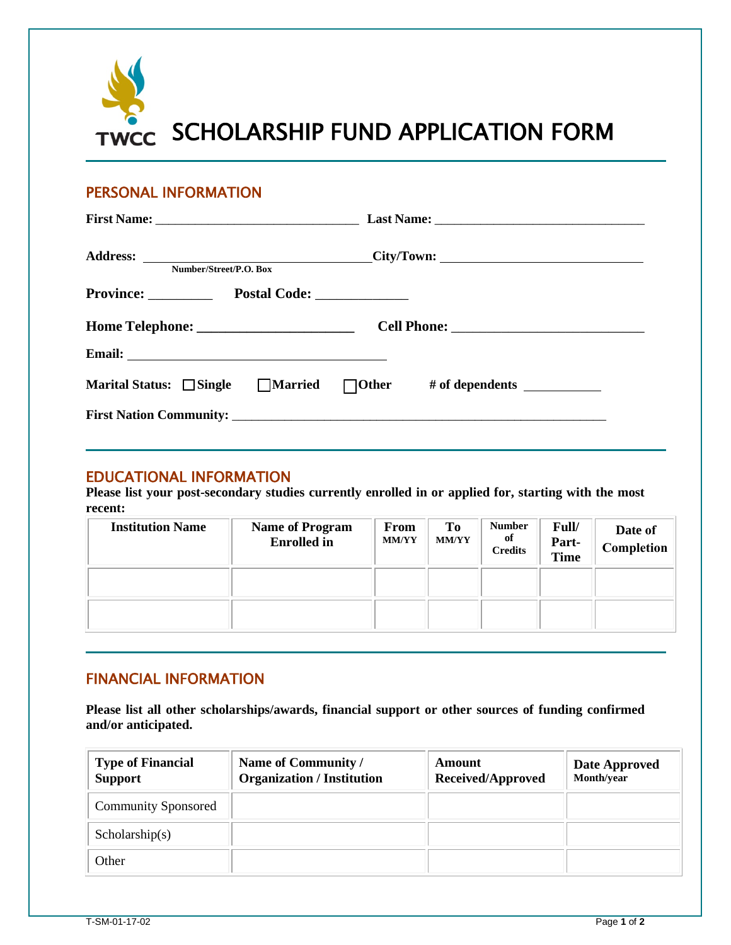

## PERSONAL INFORMATION

| Number/Street/P.O. Box           |  | Address: ________________________________City/Town: _____________________________ |                                                                                  |  |
|----------------------------------|--|-----------------------------------------------------------------------------------|----------------------------------------------------------------------------------|--|
| Province: Postal Code: _________ |  |                                                                                   |                                                                                  |  |
|                                  |  |                                                                                   |                                                                                  |  |
|                                  |  |                                                                                   |                                                                                  |  |
|                                  |  |                                                                                   | Marital Status: $\Box$ Single $\Box$ Married $\Box$ Other # of dependents $\Box$ |  |
|                                  |  |                                                                                   |                                                                                  |  |

## EDUCATIONAL INFORMATION

**Please list your post-secondary studies currently enrolled in or applied for, starting with the most recent:**

| <b>Institution Name</b> | <b>Name of Program</b><br><b>Enrolled</b> in | From<br><b>MM/YY</b> | T <sub>0</sub><br><b>MM/YY</b> | <b>Number</b><br>of<br><b>Credits</b> | Full/<br>Part-<br><b>Time</b> | Date of<br><b>Completion</b> |
|-------------------------|----------------------------------------------|----------------------|--------------------------------|---------------------------------------|-------------------------------|------------------------------|
|                         |                                              |                      |                                |                                       |                               |                              |
|                         |                                              |                      |                                |                                       |                               |                              |

## FINANCIAL INFORMATION

**Please list all other scholarships/awards, financial support or other sources of funding confirmed and/or anticipated.**

| <b>Type of Financial</b><br><b>Support</b> | Name of Community /<br><b>Organization / Institution</b> | Amount<br>Received/Approved | Date Approved<br>Month/year |
|--------------------------------------------|----------------------------------------------------------|-----------------------------|-----------------------------|
| <b>Community Sponsored</b>                 |                                                          |                             |                             |
| Scholarship(s)                             |                                                          |                             |                             |
| Other                                      |                                                          |                             |                             |